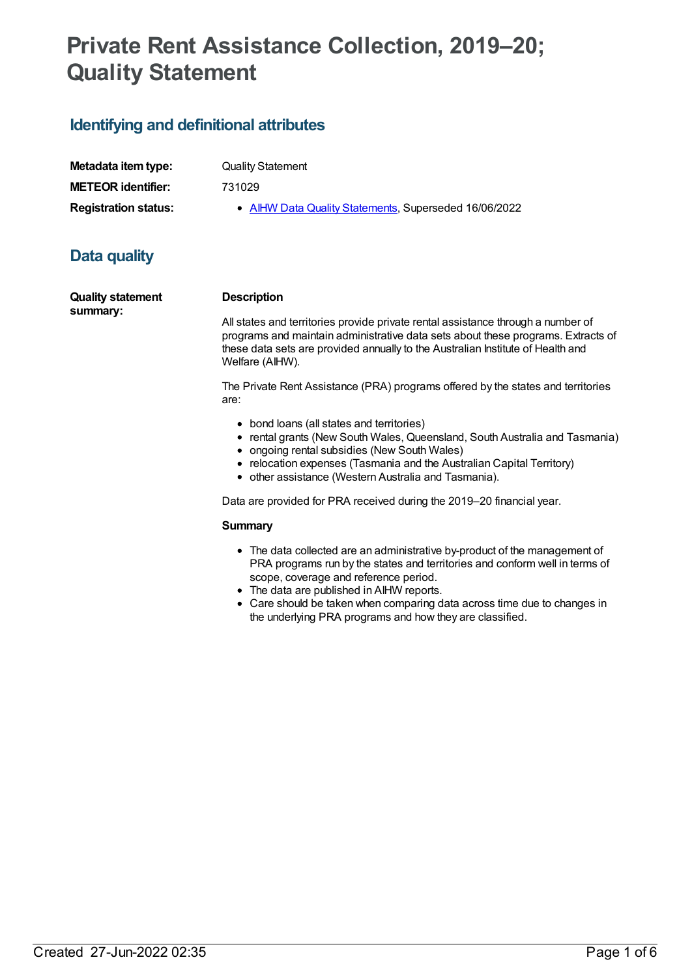# **Private Rent Assistance Collection, 2019–20; Quality Statement**

### **Identifying and definitional attributes**

| Metadata item type:         | <b>Quality Statement</b>                              |
|-----------------------------|-------------------------------------------------------|
| <b>METEOR identifier:</b>   | 731029                                                |
| <b>Registration status:</b> | • AIHW Data Quality Statements, Superseded 16/06/2022 |

## **Data quality**

| <b>Quality statement</b> | <b>Description</b>                                        |
|--------------------------|-----------------------------------------------------------|
| summary:                 |                                                           |
|                          | All states and territories provide private rental assista |

nce through a number of programs and maintain administrative data sets about these programs. Extracts of these data sets are provided annually to the Australian Institute of Health and Welfare (AIHW).

The Private Rent Assistance (PRA) programs offered by the states and territories are:

- bond loans (all states and territories)
- rental grants (New South Wales, Queensland, South Australia and Tasmania)
- ongoing rental subsidies (New South Wales)
- relocation expenses (Tasmania and the Australian Capital Territory)
- other assistance (Western Australia and Tasmania).

Data are provided for PRA received during the 2019–20 financial year.

#### **Summary**

- The data collected are an administrative by-product of the management of PRA programs run by the states and territories and conform well in terms of scope, coverage and reference period.
- The data are published in AIHW reports.
- Care should be taken when comparing data across time due to changes in the underlying PRA programs and how they are classified.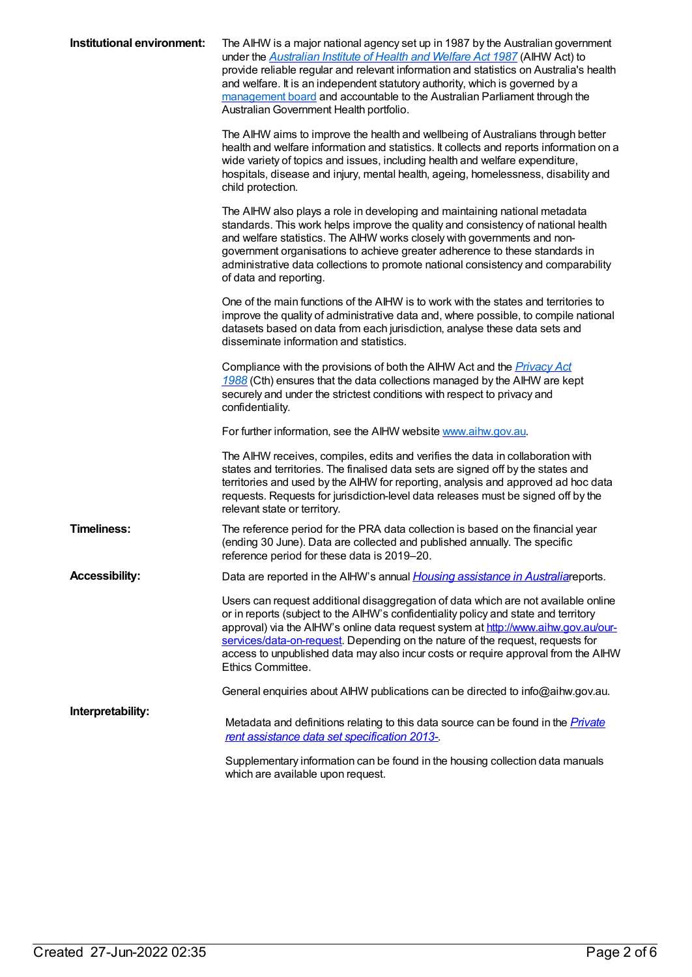| Institutional environment: | The AIHW is a major national agency set up in 1987 by the Australian government<br>under the <b>Australian Institute of Health and Welfare Act 1987</b> (AIHW Act) to<br>provide reliable regular and relevant information and statistics on Australia's health<br>and welfare. It is an independent statutory authority, which is governed by a<br>management board and accountable to the Australian Parliament through the<br>Australian Government Health portfolio. |
|----------------------------|--------------------------------------------------------------------------------------------------------------------------------------------------------------------------------------------------------------------------------------------------------------------------------------------------------------------------------------------------------------------------------------------------------------------------------------------------------------------------|
|                            | The AIHW aims to improve the health and wellbeing of Australians through better<br>health and welfare information and statistics. It collects and reports information on a<br>wide variety of topics and issues, including health and welfare expenditure,<br>hospitals, disease and injury, mental health, ageing, homelessness, disability and<br>child protection.                                                                                                    |
|                            | The AIHW also plays a role in developing and maintaining national metadata<br>standards. This work helps improve the quality and consistency of national health<br>and welfare statistics. The AIHW works closely with governments and non-<br>government organisations to achieve greater adherence to these standards in<br>administrative data collections to promote national consistency and comparability<br>of data and reporting.                                |
|                            | One of the main functions of the AIHW is to work with the states and territories to<br>improve the quality of administrative data and, where possible, to compile national<br>datasets based on data from each jurisdiction, analyse these data sets and<br>disseminate information and statistics.                                                                                                                                                                      |
|                            | Compliance with the provisions of both the AIHW Act and the <i>Privacy Act</i><br>1988 (Cth) ensures that the data collections managed by the AIHW are kept<br>securely and under the strictest conditions with respect to privacy and<br>confidentiality.                                                                                                                                                                                                               |
|                            | For further information, see the AIHW website www.aihw.gov.au.                                                                                                                                                                                                                                                                                                                                                                                                           |
|                            | The AIHW receives, compiles, edits and verifies the data in collaboration with<br>states and territories. The finalised data sets are signed off by the states and<br>territories and used by the AIHW for reporting, analysis and approved ad hoc data<br>requests. Requests for jurisdiction-level data releases must be signed off by the<br>relevant state or territory.                                                                                             |
| <b>Timeliness:</b>         | The reference period for the PRA data collection is based on the financial year<br>(ending 30 June). Data are collected and published annually. The specific<br>reference period for these data is 2019-20.                                                                                                                                                                                                                                                              |
| <b>Accessibility:</b>      | Data are reported in the AIHW's annual <i>Housing assistance in Australia</i> reports.                                                                                                                                                                                                                                                                                                                                                                                   |
|                            | Users can request additional disaggregation of data which are not available online<br>or in reports (subject to the AIHW's confidentiality policy and state and territory<br>approval) via the AIHW's online data request system at http://www.aihw.gov.au/our-<br>services/data-on-request. Depending on the nature of the request, requests for<br>access to unpublished data may also incur costs or require approval from the AIHW<br>Ethics Committee.              |
|                            | General enquiries about AIHW publications can be directed to info@aihw.gov.au.                                                                                                                                                                                                                                                                                                                                                                                           |
| Interpretability:          | Metadata and definitions relating to this data source can be found in the <i>Private</i><br>rent assistance data set specification 2013-                                                                                                                                                                                                                                                                                                                                 |
|                            | Supplementary information can be found in the housing collection data manuals<br>which are available upon request.                                                                                                                                                                                                                                                                                                                                                       |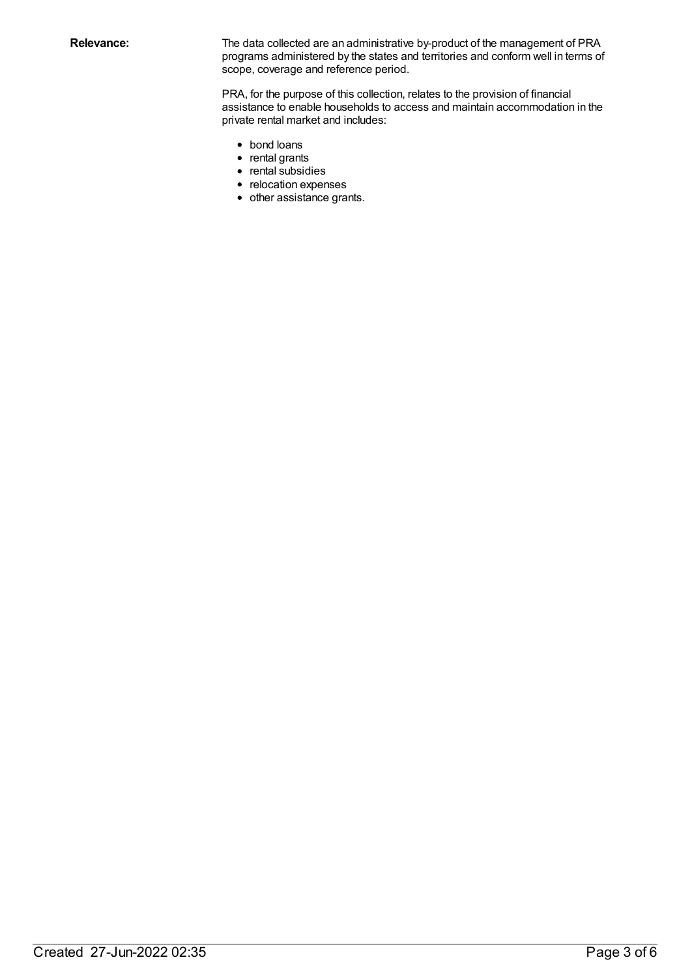Relevance: The data collected are an administrative by-product of the management of PRA programs administered by the states and territories and conform well in terms of scope, coverage and reference period.

> PRA, for the purpose of this collection, relates to the provision of financial assistance to enable households to access and maintain accommodation in the private rental market and includes:

- bond loans
- rental grants
- rental subsidies
- relocation expenses
- other assistance grants.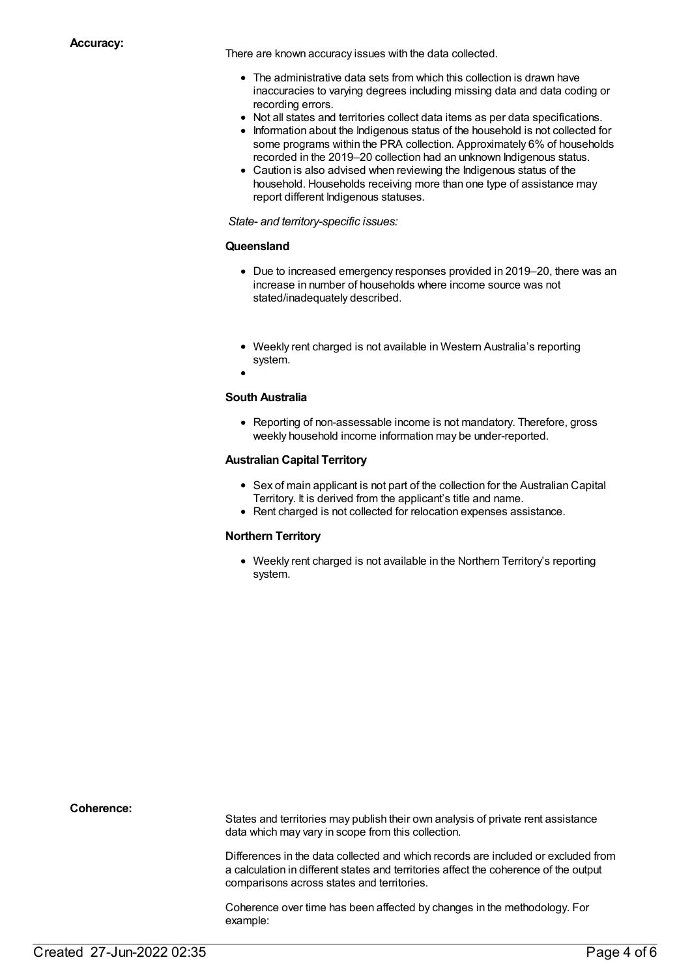There are known accuracy issues with the data collected.

- The administrative data sets from which this collection is drawn have inaccuracies to varying degrees including missing data and data coding or recording errors.
- Not all states and territories collect data items as per data specifications.
- Information about the Indigenous status of the household is not collected for some programs within the PRA collection. Approximately 6% of households recorded in the 2019–20 collection had an unknown Indigenous status.
- Caution is also advised when reviewing the Indigenous status of the household. Households receiving more than one type of assistance may report different Indigenous statuses.

*State- and territory-specific issues:*

#### **Queensland**

- Due to increased emergency responses provided in 2019–20, there was an increase in number of households where income source was not stated/inadequately described.
- Weekly rent charged is not available in Western Australia's reporting system.
- 

#### **South Australia**

• Reporting of non-assessable income is not mandatory. Therefore, gross weekly household income information may be under-reported.

#### **Australian Capital Territory**

- Sex of main applicant is not part of the collection for the Australian Capital Territory. It is derived from the applicant's title and name.
- Rent charged is not collected for relocation expenses assistance.

#### **Northern Territory**

Weekly rent charged is not available in the Northern Territory's reporting system.

**Coherence:**

States and territories may publish their own analysis of private rent assistance data which may vary in scope from this collection.

Differences in the data collected and which records are included or excluded from a calculation in different states and territories affect the coherence of the output comparisons across states and territories.

Coherence over time has been affected by changes in the methodology. For example: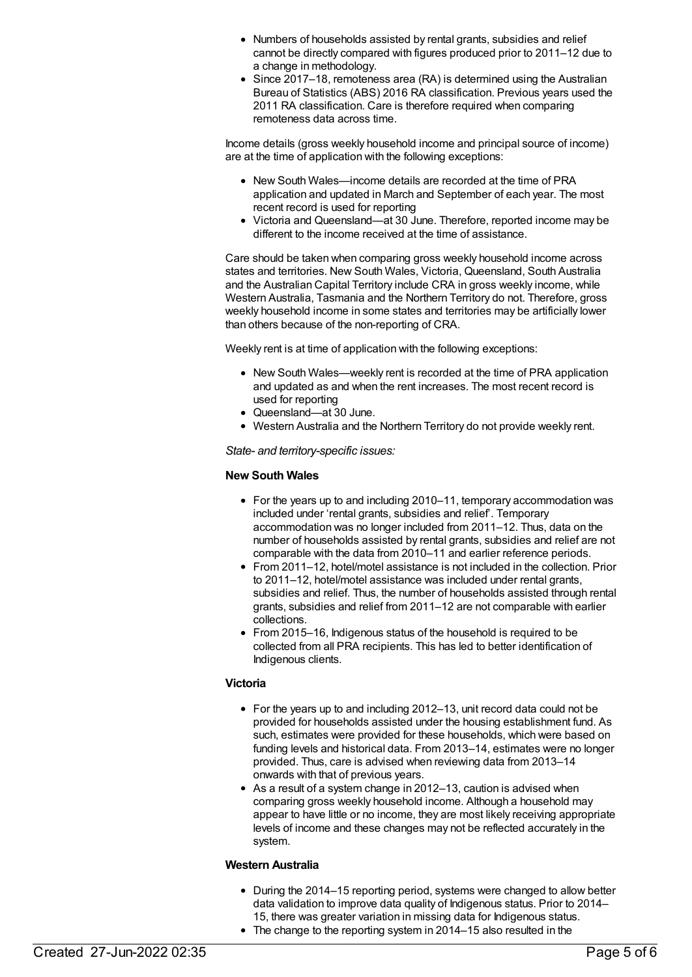- Numbers of households assisted by rental grants, subsidies and relief cannot be directly compared with figures produced prior to 2011–12 due to a change in methodology.
- Since 2017–18, remoteness area (RA) is determined using the Australian Bureau of Statistics (ABS) 2016 RA classification. Previous years used the 2011 RA classification. Care is therefore required when comparing remoteness data across time.

Income details (gross weekly household income and principal source of income) are at the time of application with the following exceptions:

- New South Wales—income details are recorded at the time of PRA application and updated in March and September of each year. The most recent record is used for reporting
- Victoria and Queensland—at 30 June. Therefore, reported income may be different to the income received at the time of assistance.

Care should be taken when comparing gross weekly household income across states and territories. New South Wales, Victoria, Queensland, South Australia and the Australian Capital Territory include CRA in gross weekly income, while Western Australia, Tasmania and the Northern Territory do not. Therefore, gross weekly household income in some states and territories may be artificially lower than others because of the non-reporting of CRA.

Weekly rent is at time of application with the following exceptions:

- New South Wales—weekly rent is recorded at the time of PRA application and updated as and when the rent increases. The most recent record is used for reporting
- Queensland—at 30 June.
- Western Australia and the Northern Territory do not provide weekly rent.

*State- and territory-specific issues:*

#### **New South Wales**

- For the years up to and including 2010–11, temporary accommodation was included under 'rental grants, subsidies and relief'. Temporary accommodation was no longer included from 2011–12. Thus, data on the number of households assisted by rental grants, subsidies and relief are not comparable with the data from 2010–11 and earlier reference periods.
- From 2011–12, hotel/motel assistance is not included in the collection. Prior to 2011–12, hotel/motel assistance was included under rental grants, subsidies and relief. Thus, the number of households assisted through rental grants, subsidies and relief from 2011–12 are not comparable with earlier collections.
- From 2015–16, Indigenous status of the household is required to be collected from all PRA recipients. This has led to better identification of Indigenous clients.

#### **Victoria**

- For the years up to and including 2012–13, unit record data could not be provided for households assisted under the housing establishment fund. As such, estimates were provided for these households, which were based on funding levels and historical data. From 2013–14, estimates were no longer provided. Thus, care is advised when reviewing data from 2013–14 onwards with that of previous years.
- As a result of a system change in 2012–13, caution is advised when comparing gross weekly household income. Although a household may appear to have little or no income, they are most likely receiving appropriate levels of income and these changes may not be reflected accurately in the system.

#### **Western Australia**

- During the 2014–15 reporting period, systems were changed to allow better data validation to improve data quality of Indigenous status. Prior to 2014– 15, there was greater variation in missing data for Indigenous status.
- The change to the reporting system in 2014–15 also resulted in the